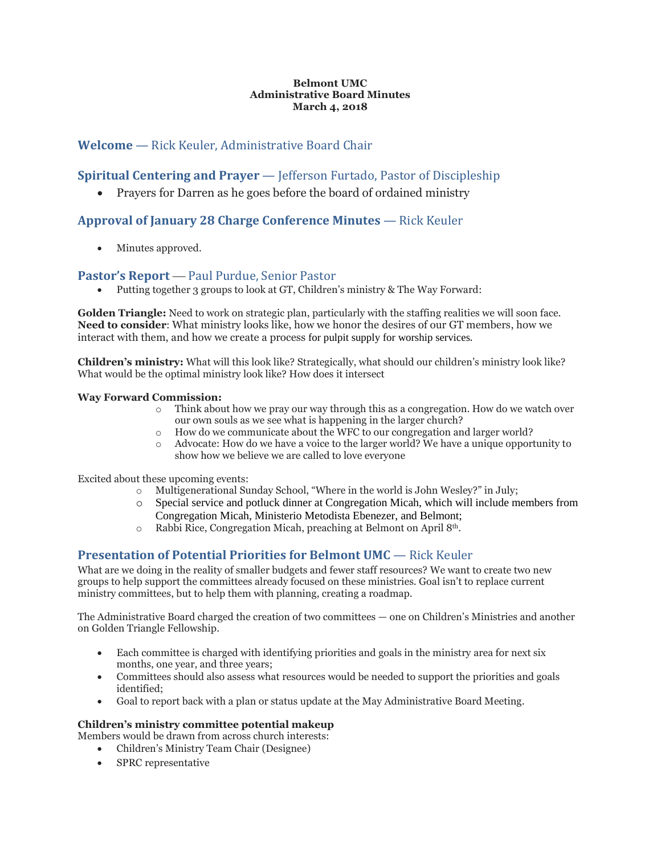### **Belmont UMC Administrative Board Minutes March 4, 2018**

# **Welcome** — Rick Keuler, Administrative Board Chair

# **Spiritual Centering and Prayer** — Jefferson Furtado, Pastor of Discipleship

• Prayers for Darren as he goes before the board of ordained ministry

# **Approval of January 28 Charge Conference Minutes** — Rick Keuler

Minutes approved.

# **Pastor's Report** — Paul Purdue, Senior Pastor

Putting together 3 groups to look at GT, Children's ministry & The Way Forward:

**Golden Triangle:** Need to work on strategic plan, particularly with the staffing realities we will soon face. **Need to consider**: What ministry looks like, how we honor the desires of our GT members, how we interact with them, and how we create a process for pulpit supply for worship services.

**Children's ministry:** What will this look like? Strategically, what should our children's ministry look like? What would be the optimal ministry look like? How does it intersect

### **Way Forward Commission:**

- o Think about how we pray our way through this as a congregation. How do we watch over our own souls as we see what is happening in the larger church?
- o How do we communicate about the WFC to our congregation and larger world?
- o Advocate: How do we have a voice to the larger world? We have a unique opportunity to show how we believe we are called to love everyone

Excited about these upcoming events:

- o Multigenerational Sunday School, "Where in the world is John Wesley?" in July;
- o Special service and potluck dinner at Congregation Micah, which will include members from Congregation Micah, Ministerio Metodista Ebenezer, and Belmont;
- o Rabbi Rice, Congregation Micah, preaching at Belmont on April 8th.

# **Presentation of Potential Priorities for Belmont UMC** — Rick Keuler

What are we doing in the reality of smaller budgets and fewer staff resources? We want to create two new groups to help support the committees already focused on these ministries. Goal isn't to replace current ministry committees, but to help them with planning, creating a roadmap.

The Administrative Board charged the creation of two committees — one on Children's Ministries and another on Golden Triangle Fellowship.

- Each committee is charged with identifying priorities and goals in the ministry area for next six months, one year, and three years;
- Committees should also assess what resources would be needed to support the priorities and goals identified;
- Goal to report back with a plan or status update at the May Administrative Board Meeting.

### **Children's ministry committee potential makeup**

Members would be drawn from across church interests:

- Children's Ministry Team Chair (Designee)
- SPRC representative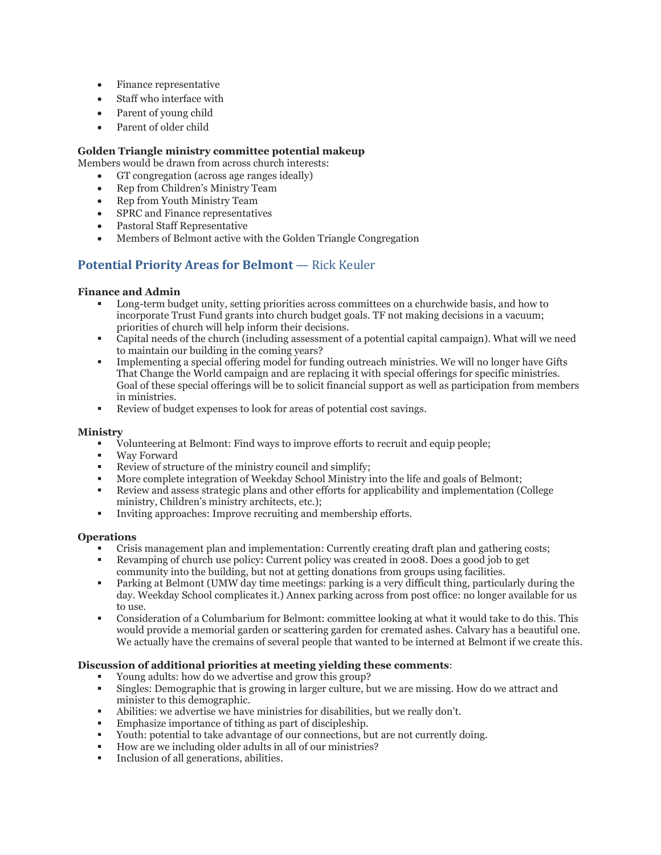- Finance representative
- Staff who interface with
- Parent of young child
- Parent of older child

### **Golden Triangle ministry committee potential makeup**

Members would be drawn from across church interests:

- GT congregation (across age ranges ideally)
- Rep from Children's Ministry Team
- Rep from Youth Ministry Team
- SPRC and Finance representatives
- Pastoral Staff Representative
- Members of Belmont active with the Golden Triangle Congregation

# **Potential Priority Areas for Belmont** — Rick Keuler

### **Finance and Admin**

- Long-term budget unity, setting priorities across committees on a churchwide basis, and how to incorporate Trust Fund grants into church budget goals. TF not making decisions in a vacuum; priorities of church will help inform their decisions.
- Capital needs of the church (including assessment of a potential capital campaign). What will we need to maintain our building in the coming years?
- Implementing a special offering model for funding outreach ministries. We will no longer have Gifts That Change the World campaign and are replacing it with special offerings for specific ministries. Goal of these special offerings will be to solicit financial support as well as participation from members in ministries.
- Review of budget expenses to look for areas of potential cost savings.

#### **Ministry**

- Volunteering at Belmont: Find ways to improve efforts to recruit and equip people;
- Way Forward
- Review of structure of the ministry council and simplify;
- More complete integration of Weekday School Ministry into the life and goals of Belmont;
- Review and assess strategic plans and other efforts for applicability and implementation (College ministry, Children's ministry architects, etc.);
- Inviting approaches: Improve recruiting and membership efforts.

#### **Operations**

- Crisis management plan and implementation: Currently creating draft plan and gathering costs;
- Revamping of church use policy: Current policy was created in 2008. Does a good job to get community into the building, but not at getting donations from groups using facilities.
- Parking at Belmont (UMW day time meetings: parking is a very difficult thing, particularly during the day. Weekday School complicates it.) Annex parking across from post office: no longer available for us to use.
- Consideration of a Columbarium for Belmont: committee looking at what it would take to do this. This would provide a memorial garden or scattering garden for cremated ashes. Calvary has a beautiful one. We actually have the cremains of several people that wanted to be interned at Belmont if we create this.

### **Discussion of additional priorities at meeting yielding these comments**:

- Young adults: how do we advertise and grow this group?
- Singles: Demographic that is growing in larger culture, but we are missing. How do we attract and minister to this demographic.
- Abilities: we advertise we have ministries for disabilities, but we really don't.
- Emphasize importance of tithing as part of discipleship.
- Youth: potential to take advantage of our connections, but are not currently doing.
- How are we including older adults in all of our ministries?
- Inclusion of all generations, abilities.